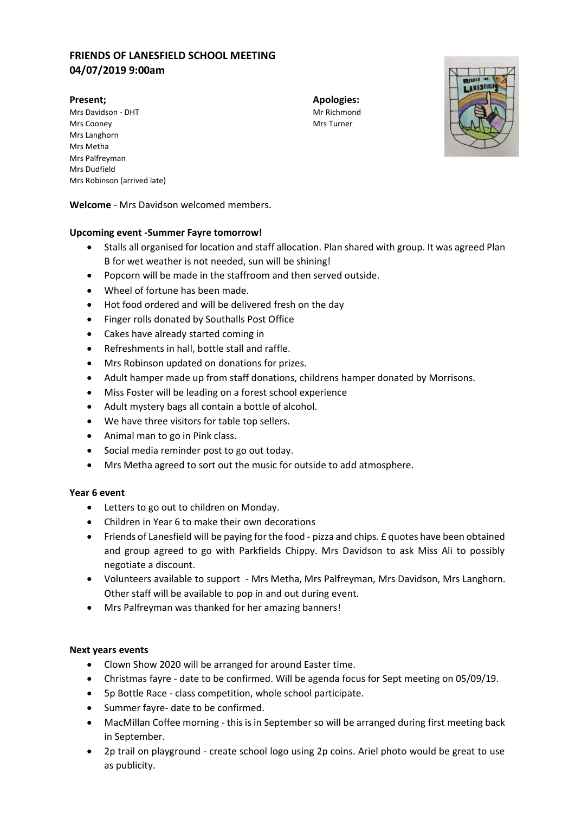# **FRIENDS OF LANESFIELD SCHOOL MEETING 04/07/2019 9:00am**

Mrs Davidson - DHT Mrs Davidson - DHT Mrs Cooney **Mrs** Turner Mrs Langhorn Mrs Metha Mrs Palfreyman Mrs Dudfield Mrs Robinson (arrived late)

**Present; Apologies:**



**Welcome** - Mrs Davidson welcomed members.

### **Upcoming event -Summer Fayre tomorrow!**

- Stalls all organised for location and staff allocation. Plan shared with group. It was agreed Plan B for wet weather is not needed, sun will be shining!
- Popcorn will be made in the staffroom and then served outside.
- Wheel of fortune has been made.
- Hot food ordered and will be delivered fresh on the day
- Finger rolls donated by Southalls Post Office
- Cakes have already started coming in
- Refreshments in hall, bottle stall and raffle.
- Mrs Robinson updated on donations for prizes.
- Adult hamper made up from staff donations, childrens hamper donated by Morrisons.
- Miss Foster will be leading on a forest school experience
- Adult mystery bags all contain a bottle of alcohol.
- We have three visitors for table top sellers.
- Animal man to go in Pink class.
- Social media reminder post to go out today.
- Mrs Metha agreed to sort out the music for outside to add atmosphere.

#### **Year 6 event**

- Letters to go out to children on Monday.
- Children in Year 6 to make their own decorations
- Friends of Lanesfield will be paying for the food pizza and chips. £ quotes have been obtained and group agreed to go with Parkfields Chippy. Mrs Davidson to ask Miss Ali to possibly negotiate a discount.
- Volunteers available to support Mrs Metha, Mrs Palfreyman, Mrs Davidson, Mrs Langhorn. Other staff will be available to pop in and out during event.
- Mrs Palfreyman was thanked for her amazing banners!

## **Next years events**

- Clown Show 2020 will be arranged for around Easter time.
- Christmas fayre date to be confirmed. Will be agenda focus for Sept meeting on 05/09/19.
- 5p Bottle Race class competition, whole school participate.
- Summer fayre- date to be confirmed.
- MacMillan Coffee morning this is in September so will be arranged during first meeting back in September.
- 2p trail on playground create school logo using 2p coins. Ariel photo would be great to use as publicity.